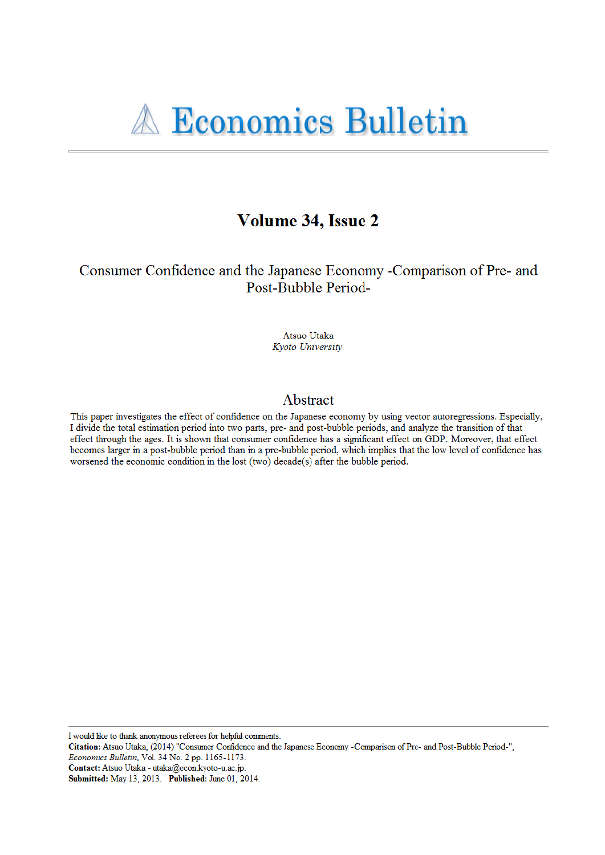# Volume 34, Issue 2

## Consumer Confidence and the Japanese Economy -Comparison of Pre- and Post-Bubble Period-

Atsuo Utaka Kyoto University

#### Abstract

This paper investigates the effect of confidence on the Japanese economy by using vector autoregressions. Especially, I divide the total estimation period into two parts, pre- and post-bubble periods, and analyze the transition of that effect through the ages. It is shown that consumer confidence has a significant effect on GDP. Moreover, that effect becomes larger in a post-bubble period than in a pre-bubble period, which implies that the low level of confidence has worsened the economic condition in the lost (two) decade(s) after the bubble period.

I would like to thank anonymous referees for helpful comments.

Citation: Atsuo Utaka, (2014) "Consumer Confidence and the Japanese Economy -Comparison of Pre- and Post-Bubble Period-", Economics Bulletin, Vol. 34 No. 2 pp. 1165-1173.

Contact: Atsuo Utaka - utaka@econ.kyoto-u.ac.jp.

Submitted: May 13, 2013. Published: June 01, 2014.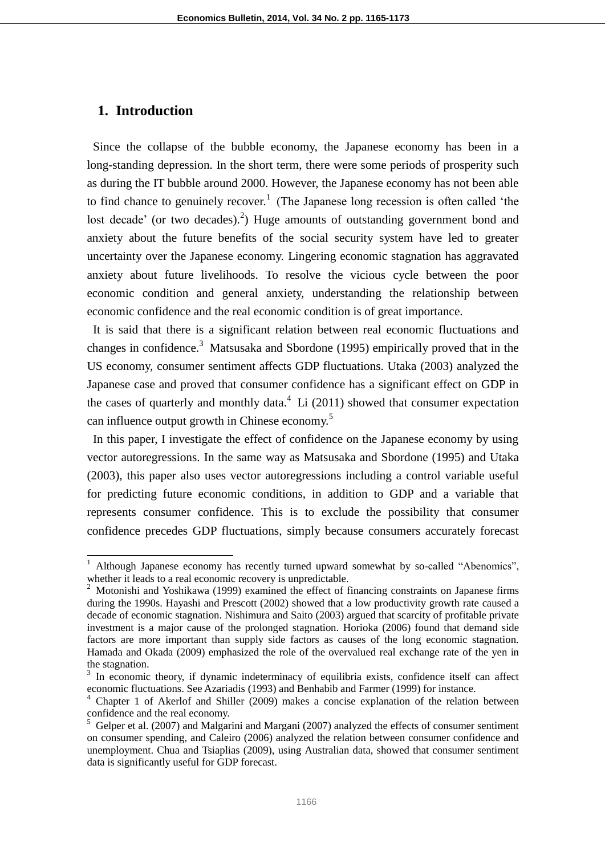#### **1. Introduction**

Since the collapse of the bubble economy, the Japanese economy has been in a long-standing depression. In the short term, there were some periods of prosperity such as during the IT bubble around 2000. However, the Japanese economy has not been able to find chance to genuinely recover.<sup>1</sup> (The Japanese long recession is often called 'the lost decade' (or two decades).<sup>2</sup>) Huge amounts of outstanding government bond and anxiety about the future benefits of the social security system have led to greater uncertainty over the Japanese economy. Lingering economic stagnation has aggravated anxiety about future livelihoods. To resolve the vicious cycle between the poor economic condition and general anxiety, understanding the relationship between economic confidence and the real economic condition is of great importance.

It is said that there is a significant relation between real economic fluctuations and changes in confidence.<sup>3</sup> Matsusaka and Sbordone (1995) empirically proved that in the US economy, consumer sentiment affects GDP fluctuations. Utaka (2003) analyzed the Japanese case and proved that consumer confidence has a significant effect on GDP in the cases of quarterly and monthly data. $4\,$  Li (2011) showed that consumer expectation can influence output growth in Chinese economy.<sup>5</sup>

In this paper, I investigate the effect of confidence on the Japanese economy by using vector autoregressions. In the same way as Matsusaka and Sbordone (1995) and Utaka (2003), this paper also uses vector autoregressions including a control variable useful for predicting future economic conditions, in addition to GDP and a variable that represents consumer confidence. This is to exclude the possibility that consumer confidence precedes GDP fluctuations, simply because consumers accurately forecast

 $1$  Although Japanese economy has recently turned upward somewhat by so-called "Abenomics", whether it leads to a real economic recovery is unpredictable.

 $2$  Motonishi and Yoshikawa (1999) examined the effect of financing constraints on Japanese firms during the 1990s. Hayashi and Prescott (2002) showed that a low productivity growth rate caused a decade of economic stagnation. Nishimura and Saito (2003) argued that scarcity of profitable private investment is a major cause of the prolonged stagnation. Horioka (2006) found that demand side factors are more important than supply side factors as causes of the long economic stagnation. Hamada and Okada (2009) emphasized the role of the overvalued real exchange rate of the yen in the stagnation.

<sup>&</sup>lt;sup>3</sup> In economic theory, if dynamic indeterminacy of equilibria exists, confidence itself can affect economic fluctuations. See Azariadis (1993) and Benhabib and Farmer (1999) for instance.

<sup>&</sup>lt;sup>4</sup> Chapter 1 of Akerlof and Shiller (2009) makes a concise explanation of the relation between confidence and the real economy.

 $<sup>5</sup>$  Gelper et al. (2007) and Malgarini and Margani (2007) analyzed the effects of consumer sentiment</sup> on consumer spending, and Caleiro (2006) analyzed the relation between consumer confidence and unemployment. Chua and Tsiaplias (2009), using Australian data, showed that consumer sentiment data is significantly useful for GDP forecast.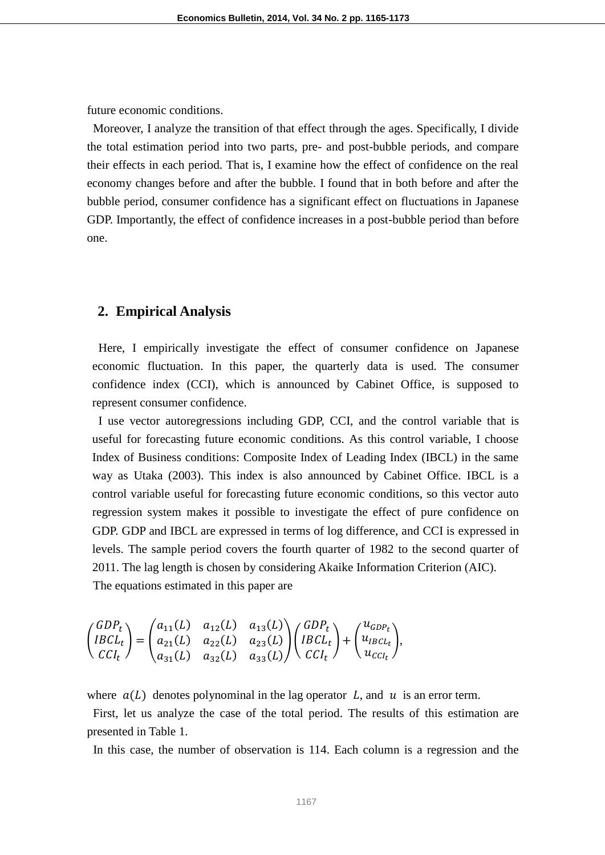future economic conditions.

Moreover, I analyze the transition of that effect through the ages. Specifically, I divide the total estimation period into two parts, pre- and post-bubble periods, and compare their effects in each period. That is, I examine how the effect of confidence on the real economy changes before and after the bubble. I found that in both before and after the bubble period, consumer confidence has a significant effect on fluctuations in Japanese GDP. Importantly, the effect of confidence increases in a post-bubble period than before one.

#### **2. Empirical Analysis**

Here, I empirically investigate the effect of consumer confidence on Japanese economic fluctuation. In this paper, the quarterly data is used. The consumer confidence index (CCI), which is announced by Cabinet Office, is supposed to represent consumer confidence.

I use vector autoregressions including GDP, CCI, and the control variable that is useful for forecasting future economic conditions. As this control variable, I choose Index of Business conditions: Composite Index of Leading Index (IBCL) in the same way as Utaka (2003). This index is also announced by Cabinet Office. IBCL is a control variable useful for forecasting future economic conditions, so this vector auto regression system makes it possible to investigate the effect of pure confidence on GDP. GDP and IBCL are expressed in terms of log difference, and CCI is expressed in levels. The sample period covers the fourth quarter of 1982 to the second quarter of 2011. The lag length is chosen by considering Akaike Information Criterion (AIC). The equations estimated in this paper are

$$
\begin{pmatrix} GDP_t \\ IBCL_t \\ CCl_t \end{pmatrix} = \begin{pmatrix} a_{11}(L) & a_{12}(L) & a_{13}(L) \\ a_{21}(L) & a_{22}(L) & a_{23}(L) \\ a_{31}(L) & a_{32}(L) & a_{33}(L) \end{pmatrix} \begin{pmatrix} GDP_t \\ IBCL_t \\ CCl_t \end{pmatrix} + \begin{pmatrix} u_{GDP_t} \\ u_{IBCL_t} \\ u_{CCl_t} \end{pmatrix},
$$

where  $a(L)$  denotes polynominal in the lag operator L, and u is an error term.

First, let us analyze the case of the total period. The results of this estimation are presented in Table 1.

In this case, the number of observation is 114. Each column is a regression and the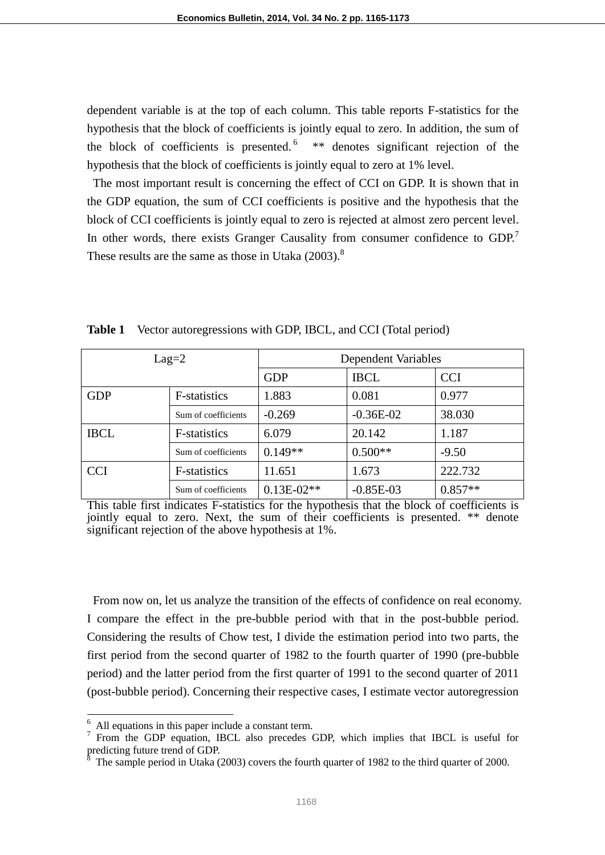dependent variable is at the top of each column. This table reports F-statistics for the hypothesis that the block of coefficients is jointly equal to zero. In addition, the sum of the block of coefficients is presented.  $6$  \*\* denotes significant rejection of the hypothesis that the block of coefficients is jointly equal to zero at 1% level.

The most important result is concerning the effect of CCI on GDP. It is shown that in the GDP equation, the sum of CCI coefficients is positive and the hypothesis that the block of CCI coefficients is jointly equal to zero is rejected at almost zero percent level. In other words, there exists Granger Causality from consumer confidence to GDP.<sup>7</sup> These results are the same as those in Utaka  $(2003)$ .<sup>8</sup>

| $Lag=2$                     |                      | <b>Dependent Variables</b> |             |            |  |  |
|-----------------------------|----------------------|----------------------------|-------------|------------|--|--|
|                             |                      | <b>GDP</b>                 | <b>IBCL</b> | <b>CCI</b> |  |  |
| <b>GDP</b>                  | <b>F</b> -statistics | 1.883                      | 0.081       | 0.977      |  |  |
|                             | Sum of coefficients  | $-0.269$                   | $-0.36E-02$ | 38.030     |  |  |
| <b>IBCL</b><br>F-statistics |                      | 6.079                      | 20.142      | 1.187      |  |  |
|                             | Sum of coefficients  | $0.149**$                  | $0.500**$   | $-9.50$    |  |  |
| <b>CCI</b><br>F-statistics  |                      | 11.651                     | 1.673       | 222.732    |  |  |
|                             | Sum of coefficients  | $0.13E-02**$               | $-0.85E-03$ | $0.857**$  |  |  |

**Table 1** Vector autoregressions with GDP, IBCL, and CCI (Total period)

This table first indicates F-statistics for the hypothesis that the block of coefficients is jointly equal to zero. Next, the sum of their coefficients is presented. \*\* denote significant rejection of the above hypothesis at 1%.

From now on, let us analyze the transition of the effects of confidence on real economy. I compare the effect in the pre-bubble period with that in the post-bubble period. Considering the results of Chow test, I divide the estimation period into two parts, the first period from the second quarter of 1982 to the fourth quarter of 1990 (pre-bubble period) and the latter period from the first quarter of 1991 to the second quarter of 2011 (post-bubble period). Concerning their respective cases, I estimate vector autoregression

 $\overline{a}$ 

All equations in this paper include a constant term.

<sup>7</sup> From the GDP equation, IBCL also precedes GDP, which implies that IBCL is useful for predicting future trend of GDP.

The sample period in Utaka (2003) covers the fourth quarter of 1982 to the third quarter of 2000.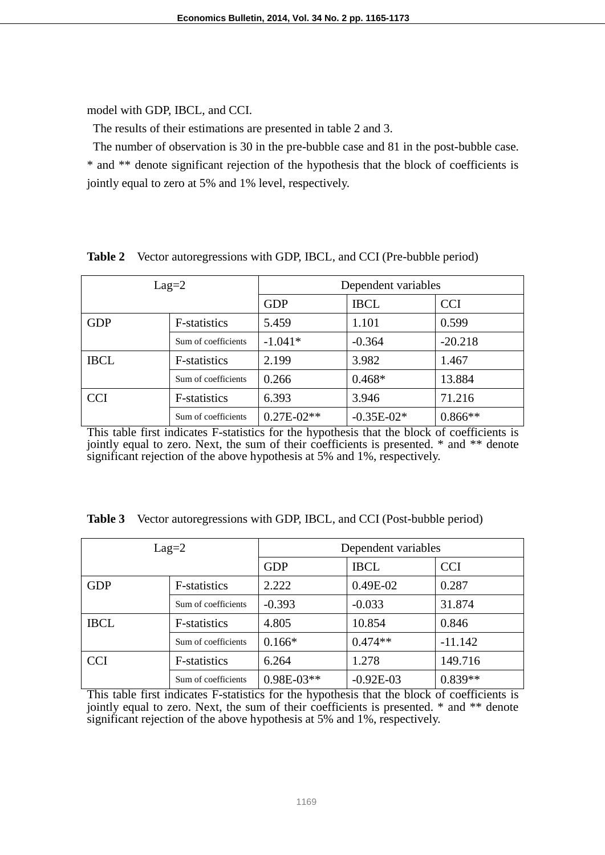model with GDP, IBCL, and CCI.

The results of their estimations are presented in table 2 and 3.

The number of observation is 30 in the pre-bubble case and 81 in the post-bubble case. \* and \*\* denote significant rejection of the hypothesis that the block of coefficients is jointly equal to zero at 5% and 1% level, respectively.

| $Lag=2$                    |                     | Dependent variables |              |            |  |  |
|----------------------------|---------------------|---------------------|--------------|------------|--|--|
|                            |                     | <b>GDP</b>          | <b>IBCL</b>  | <b>CCI</b> |  |  |
| <b>GDP</b>                 | F-statistics        | 5.459               | 1.101        | 0.599      |  |  |
|                            | Sum of coefficients | $-1.041*$           | $-0.364$     | $-20.218$  |  |  |
| <b>IBCL</b>                | F-statistics        | 2.199               | 3.982        | 1.467      |  |  |
|                            | Sum of coefficients | 0.266               | $0.468*$     | 13.884     |  |  |
| <b>CCI</b><br>F-statistics |                     | 6.393               | 3.946        | 71.216     |  |  |
|                            | Sum of coefficients | $0.27E - 02**$      | $-0.35E-02*$ | $0.866**$  |  |  |

**Table 2** Vector autoregressions with GDP, IBCL, and CCI (Pre-bubble period)

This table first indicates F-statistics for the hypothesis that the block of coefficients is jointly equal to zero. Next, the sum of their coefficients is presented. \* and \*\* denote significant rejection of the above hypothesis at 5% and 1%, respectively.

| $Lag=2$     |                     | Dependent variables |             |            |  |  |
|-------------|---------------------|---------------------|-------------|------------|--|--|
|             |                     | <b>GDP</b>          | <b>IBCL</b> | <b>CCI</b> |  |  |
| <b>GDP</b>  | F-statistics        | 2.222               | $0.49E-02$  | 0.287      |  |  |
|             | Sum of coefficients | $-0.393$            | $-0.033$    | 31.874     |  |  |
| <b>IBCL</b> | F-statistics        | 4.805               | 10.854      | 0.846      |  |  |
|             | Sum of coefficients | $0.166*$            | $0.474**$   | $-11.142$  |  |  |
| <b>CCI</b>  | F-statistics        |                     | 1.278       | 149.716    |  |  |
|             | Sum of coefficients | $0.98E-03**$        | $-0.92E-03$ | $0.839**$  |  |  |

**Table 3** Vector autoregressions with GDP, IBCL, and CCI (Post-bubble period)

This table first indicates F-statistics for the hypothesis that the block of coefficients is jointly equal to zero. Next, the sum of their coefficients is presented. \* and \*\* denote significant rejection of the above hypothesis at 5% and 1%, respectively.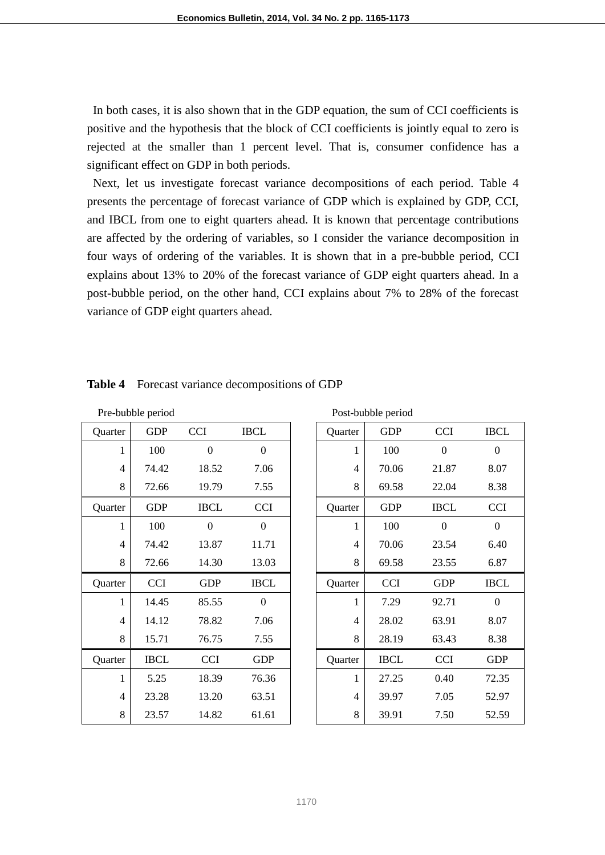In both cases, it is also shown that in the GDP equation, the sum of CCI coefficients is positive and the hypothesis that the block of CCI coefficients is jointly equal to zero is rejected at the smaller than 1 percent level. That is, consumer confidence has a significant effect on GDP in both periods.

Next, let us investigate forecast variance decompositions of each period. Table 4 presents the percentage of forecast variance of GDP which is explained by GDP, CCI, and IBCL from one to eight quarters ahead. It is known that percentage contributions are affected by the ordering of variables, so I consider the variance decomposition in four ways of ordering of the variables. It is shown that in a pre-bubble period, CCI explains about 13% to 20% of the forecast variance of GDP eight quarters ahead. In a post-bubble period, on the other hand, CCI explains about 7% to 28% of the forecast variance of GDP eight quarters ahead.

| Pre-bubble period |             |                  |                  |  |         | Post-bubble period |                  |              |
|-------------------|-------------|------------------|------------------|--|---------|--------------------|------------------|--------------|
| Quarter           | <b>GDP</b>  | <b>CCI</b>       | <b>IBCL</b>      |  | Quarter | <b>GDP</b>         | <b>CCI</b>       | <b>IBCI</b>  |
| 1                 | 100         | $\boldsymbol{0}$ | $\boldsymbol{0}$ |  | 1       | 100                | $\boldsymbol{0}$ | $\mathbf{0}$ |
| 4                 | 74.42       | 18.52            | 7.06             |  | 4       | 70.06              | 21.87            | 8.07         |
| 8                 | 72.66       | 19.79            | 7.55             |  | 8       | 69.58              | 22.04            | 8.38         |
| Quarter           | <b>GDP</b>  | <b>IBCL</b>      | <b>CCI</b>       |  | Quarter | <b>GDP</b>         | <b>IBCL</b>      | <b>CCI</b>   |
| 1                 | 100         | $\boldsymbol{0}$ | $\boldsymbol{0}$ |  | 1       | 100                | $\boldsymbol{0}$ | $\mathbf{0}$ |
| $\overline{4}$    | 74.42       | 13.87            | 11.71            |  | 4       | 70.06              | 23.54            | 6.40         |
| 8                 | 72.66       | 14.30            | 13.03            |  | 8       | 69.58              | 23.55            | 6.87         |
| Quarter           | <b>CCI</b>  | <b>GDP</b>       | <b>IBCL</b>      |  | Quarter | <b>CCI</b>         | <b>GDP</b>       | <b>IBCI</b>  |
| $\mathbf{1}$      | 14.45       | 85.55            | $\mathbf{0}$     |  | 1       | 7.29               | 92.71            | $\theta$     |
| 4                 | 14.12       | 78.82            | 7.06             |  | 4       | 28.02              | 63.91            | 8.07         |
| 8                 | 15.71       | 76.75            | 7.55             |  | 8       | 28.19              | 63.43            | 8.38         |
| Quarter           | <b>IBCL</b> | <b>CCI</b>       | <b>GDP</b>       |  | Quarter | <b>IBCL</b>        | <b>CCI</b>       | <b>GDP</b>   |
| 1                 | 5.25        | 18.39            | 76.36            |  | 1       | 27.25              | 0.40             | 72.35        |
| 4                 | 23.28       | 13.20            | 63.51            |  | 4       | 39.97              | 7.05             | 52.97        |
| 8                 | 23.57       | 14.82            | 61.61            |  | 8       | 39.91              | 7.50             | 52.59        |

| <b>Table 4</b> | Forecast variance decompositions of GDP |  |  |
|----------------|-----------------------------------------|--|--|
|----------------|-----------------------------------------|--|--|

|                | Pre-bubble period |                  |                  |  |                | Post-bubble period |                  |                  |  |
|----------------|-------------------|------------------|------------------|--|----------------|--------------------|------------------|------------------|--|
| Quarter        | <b>GDP</b>        | <b>CCI</b>       | <b>IBCL</b>      |  | Quarter        | <b>GDP</b>         | <b>CCI</b>       | <b>IBCL</b>      |  |
| 1              | 100               | $\mathbf{0}$     | $\mathbf{0}$     |  | 1              | 100                | $\boldsymbol{0}$ | $\mathbf{0}$     |  |
| $\overline{4}$ | 74.42             | 18.52            | 7.06             |  | $\overline{4}$ | 70.06              | 21.87            | 8.07             |  |
| 8              | 72.66             | 19.79            | 7.55             |  | 8              | 69.58              | 22.04            | 8.38             |  |
| Quarter        | <b>GDP</b>        | <b>IBCL</b>      | <b>CCI</b>       |  | Quarter        | <b>GDP</b>         | <b>IBCL</b>      | <b>CCI</b>       |  |
| 1              | 100               | $\boldsymbol{0}$ | $\boldsymbol{0}$ |  | 1              | 100                | $\Omega$         | $\boldsymbol{0}$ |  |
| 4              | 74.42             | 13.87            | 11.71            |  | $\overline{4}$ | 70.06              | 23.54            | 6.40             |  |
| 8              | 72.66             | 14.30            | 13.03            |  | 8              | 69.58              | 23.55            | 6.87             |  |
| Quarter        | <b>CCI</b>        | <b>GDP</b>       | <b>IBCL</b>      |  | Quarter        | <b>CCI</b>         | <b>GDP</b>       | <b>IBCL</b>      |  |
| 1              | 14.45             | 85.55            | $\boldsymbol{0}$ |  | 1              | 7.29               | 92.71            | $\boldsymbol{0}$ |  |
| $\overline{4}$ | 14.12             | 78.82            | 7.06             |  | $\overline{4}$ | 28.02              | 63.91            | 8.07             |  |
| 8              | 15.71             | 76.75            | 7.55             |  | 8              | 28.19              | 63.43            | 8.38             |  |
| Quarter        | <b>IBCL</b>       | <b>CCI</b>       | <b>GDP</b>       |  | Quarter        | <b>IBCL</b>        | <b>CCI</b>       | <b>GDP</b>       |  |
| 1              | 5.25              | 18.39            | 76.36            |  | 1              | 27.25              | 0.40             | 72.35            |  |
| $\overline{4}$ | 23.28             | 13.20            | 63.51            |  | $\overline{4}$ | 39.97              | 7.05             | 52.97            |  |
| 8              | 23.57             | 14.82            | 61.61            |  | 8              | 39.91              | 7.50             | 52.59            |  |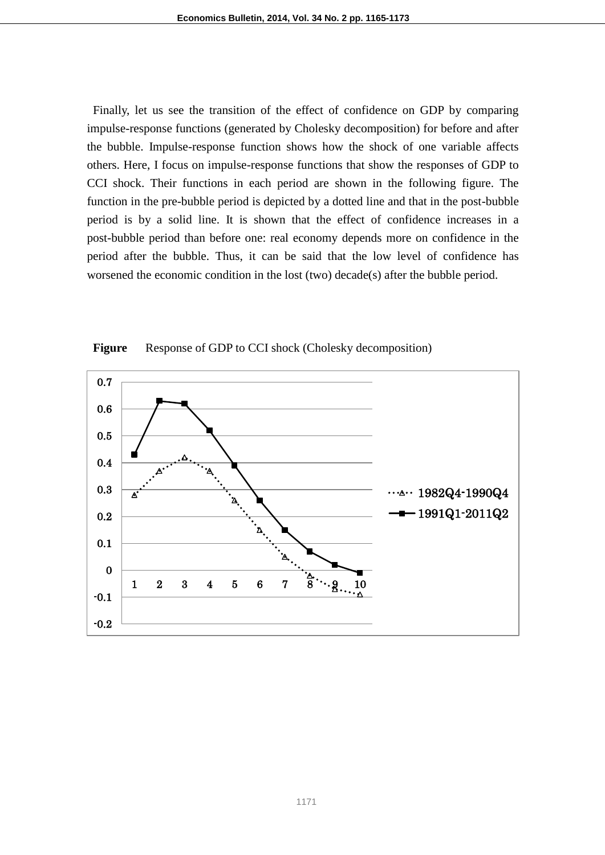Finally, let us see the transition of the effect of confidence on GDP by comparing impulse-response functions (generated by Cholesky decomposition) for before and after the bubble. Impulse-response function shows how the shock of one variable affects others. Here, I focus on impulse-response functions that show the responses of GDP to CCI shock. Their functions in each period are shown in the following figure. The function in the pre-bubble period is depicted by a dotted line and that in the post-bubble period is by a solid line. It is shown that the effect of confidence increases in a post-bubble period than before one: real economy depends more on confidence in the period after the bubble. Thus, it can be said that the low level of confidence has worsened the economic condition in the lost (two) decade(s) after the bubble period.



Figure Response of GDP to CCI shock (Cholesky decomposition)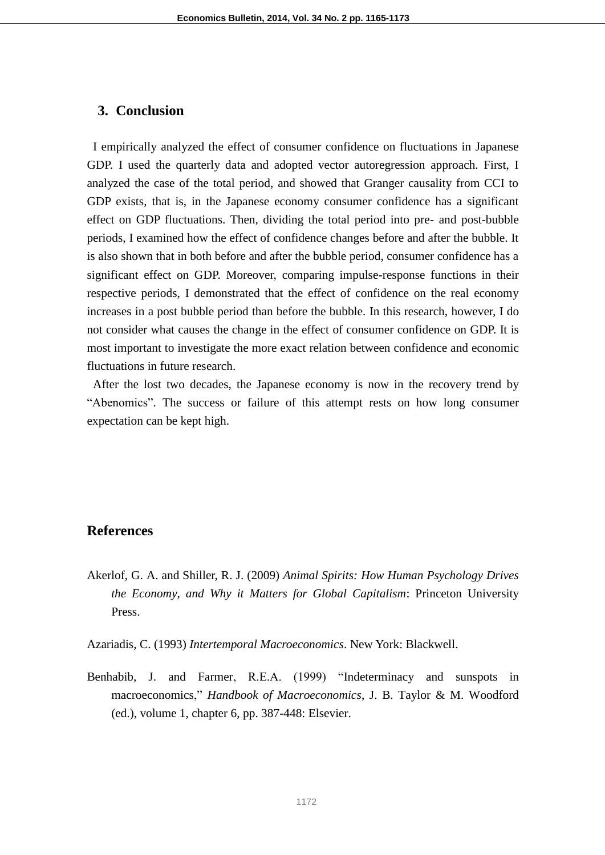#### **3. Conclusion**

I empirically analyzed the effect of consumer confidence on fluctuations in Japanese GDP. I used the quarterly data and adopted vector autoregression approach. First, I analyzed the case of the total period, and showed that Granger causality from CCI to GDP exists, that is, in the Japanese economy consumer confidence has a significant effect on GDP fluctuations. Then, dividing the total period into pre- and post-bubble periods, I examined how the effect of confidence changes before and after the bubble. It is also shown that in both before and after the bubble period, consumer confidence has a significant effect on GDP. Moreover, comparing impulse-response functions in their respective periods, I demonstrated that the effect of confidence on the real economy increases in a post bubble period than before the bubble. In this research, however, I do not consider what causes the change in the effect of consumer confidence on GDP. It is most important to investigate the more exact relation between confidence and economic fluctuations in future research.

After the lost two decades, the Japanese economy is now in the recovery trend by "Abenomics". The success or failure of this attempt rests on how long consumer expectation can be kept high.

### **References**

- Akerlof, G. A. and Shiller, R. J. (2009) *Animal Spirits: How Human Psychology Drives the Economy, and Why it Matters for Global Capitalism*: Princeton University Press.
- Azariadis, C. (1993) *Intertemporal Macroeconomics*. New York: Blackwell.
- Benhabib, J. and Farmer, R.E.A. (1999) "Indeterminacy and sunspots in macroeconomics," *Handbook of Macroeconomics*, J. B. Taylor & M. Woodford (ed.), volume 1, chapter 6, pp. 387-448: Elsevier.